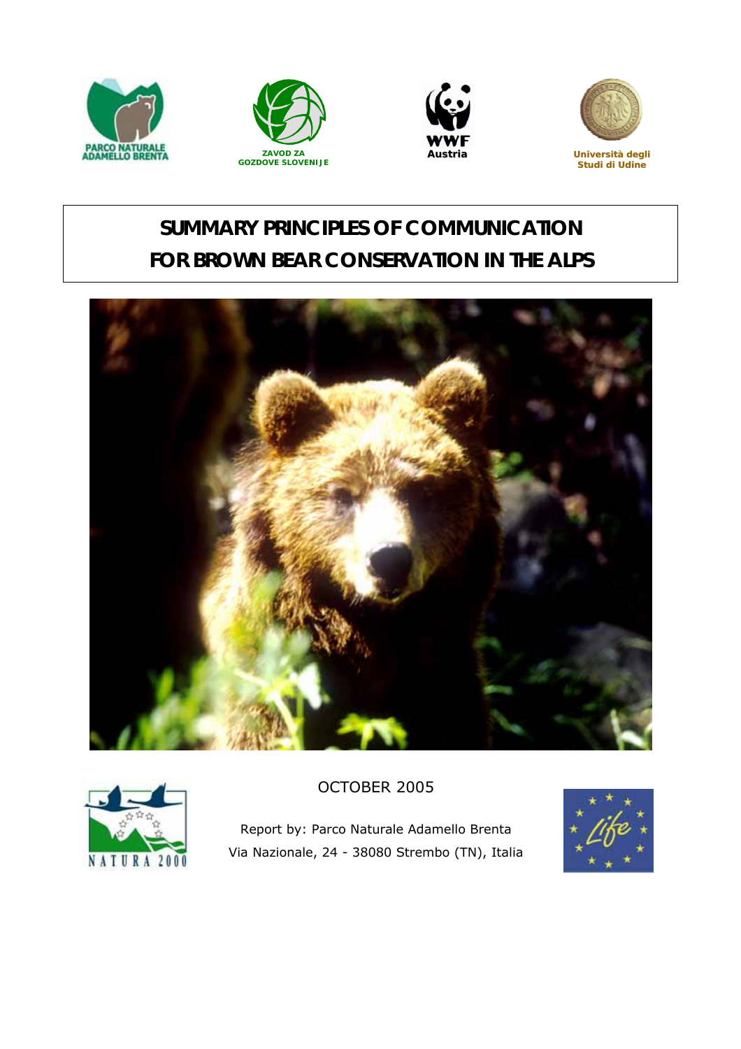







# **SUMMARY PRINCIPLES OF COMMUNICATION FOR BROWN BEAR CONSERVATION IN THE ALPS**





### OCTOBER 2005

Report by: Parco Naturale Adamello Brenta Via Nazionale, 24 - 38080 Strembo (TN), Italia

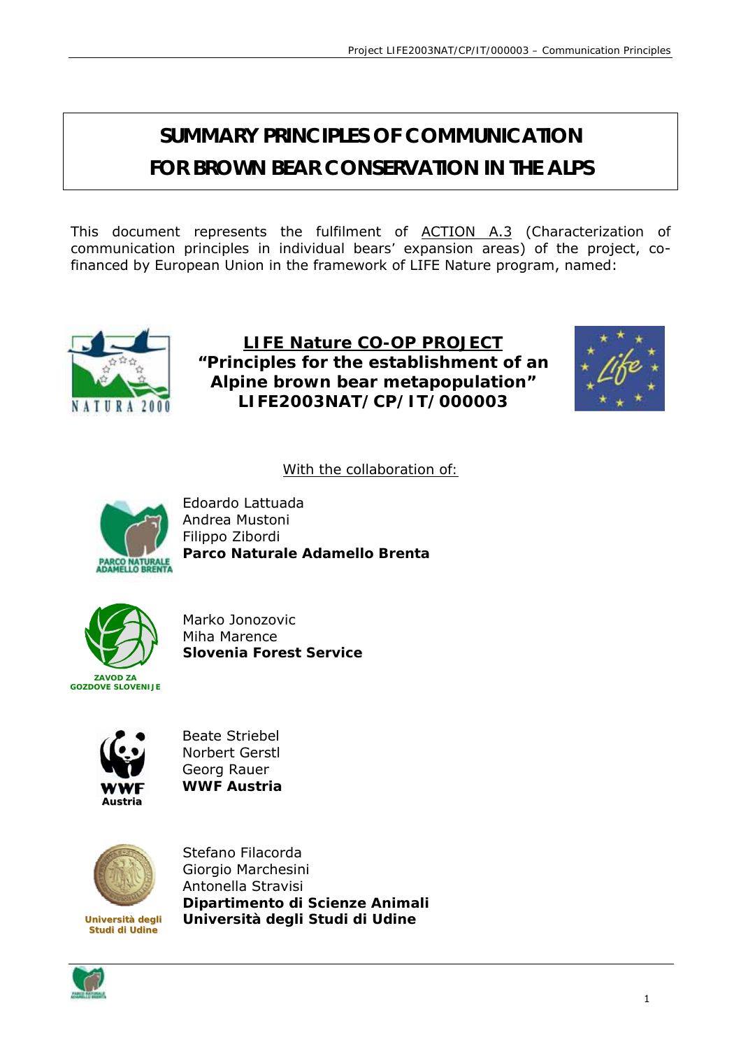# **SUMMARY PRINCIPLES OF COMMUNICATION FOR BROWN BEAR CONSERVATION IN THE ALPS**

This document represents the fulfilment of ACTION A.3 (*Characterization of communication principles in individual bears' expansion areas*) of the project, cofinanced by European Union in the framework of LIFE Nature program, named:



**LIFE Nature CO-OP PROJECT "Principles for the establishment of an Alpine brown bear metapopulation" LIFE2003NAT/CP/IT/000003** 



*With the collaboration of:*



Edoardo Lattuada Andrea Mustoni Filippo Zibordi **Parco Naturale Adamello Brenta** 



Marko Jonozovic Miha Marence **Slovenia Forest Service** 



Beate Striebel Norbert Gerstl Georg Rauer **WWF Austria** 



**Studi di Udine**

Stefano Filacorda Giorgio Marchesini Antonella Stravisi **Dipartimento di Scienze Animali Università degli Studi di Udine** 

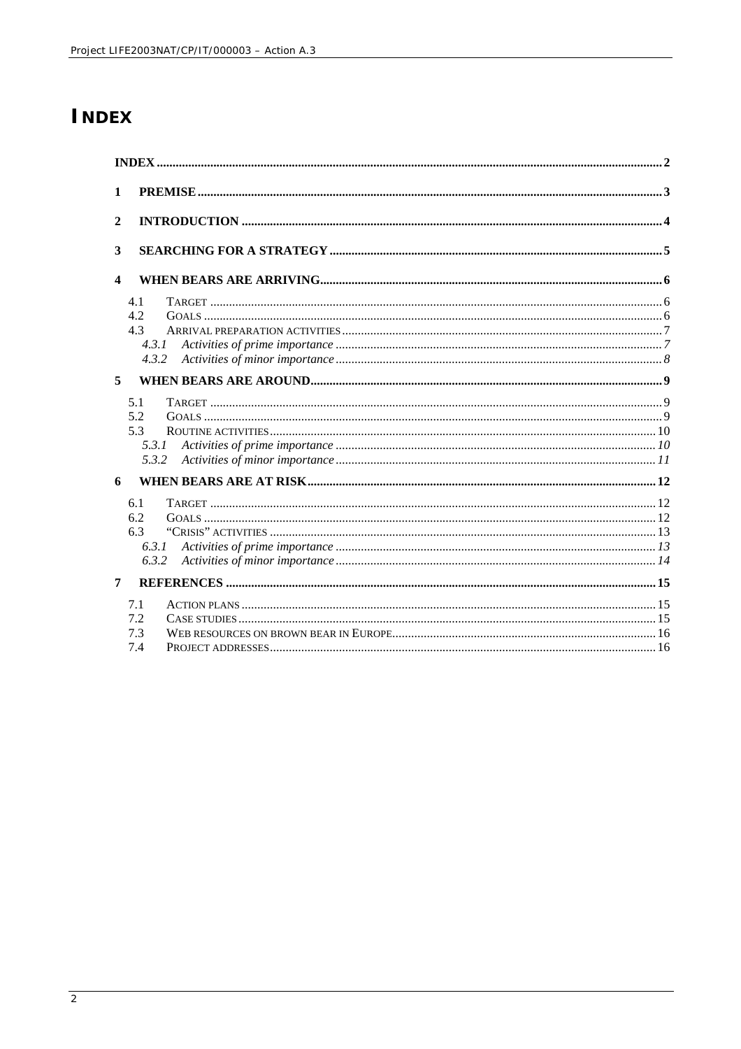# **INDEX**

| $\mathbf{1}$     |       |  |
|------------------|-------|--|
| $\mathbf{2}$     |       |  |
| 3                |       |  |
| $\boldsymbol{4}$ |       |  |
|                  | 4.1   |  |
|                  | 4.2   |  |
|                  | 4.3   |  |
|                  | 4.3.1 |  |
|                  | 4.3.2 |  |
| 5                |       |  |
|                  | 5.1   |  |
|                  | 5.2   |  |
|                  | 5.3   |  |
|                  | 5.3.1 |  |
|                  | 5.3.2 |  |
| 6                |       |  |
|                  | 6.1   |  |
|                  | 6.2   |  |
|                  | 6.3   |  |
|                  | 6.3.1 |  |
|                  | 6.3.2 |  |
| 7                |       |  |
|                  | 7.1   |  |
|                  | 7.2   |  |
|                  | 7.3   |  |
|                  | 7.4   |  |
|                  |       |  |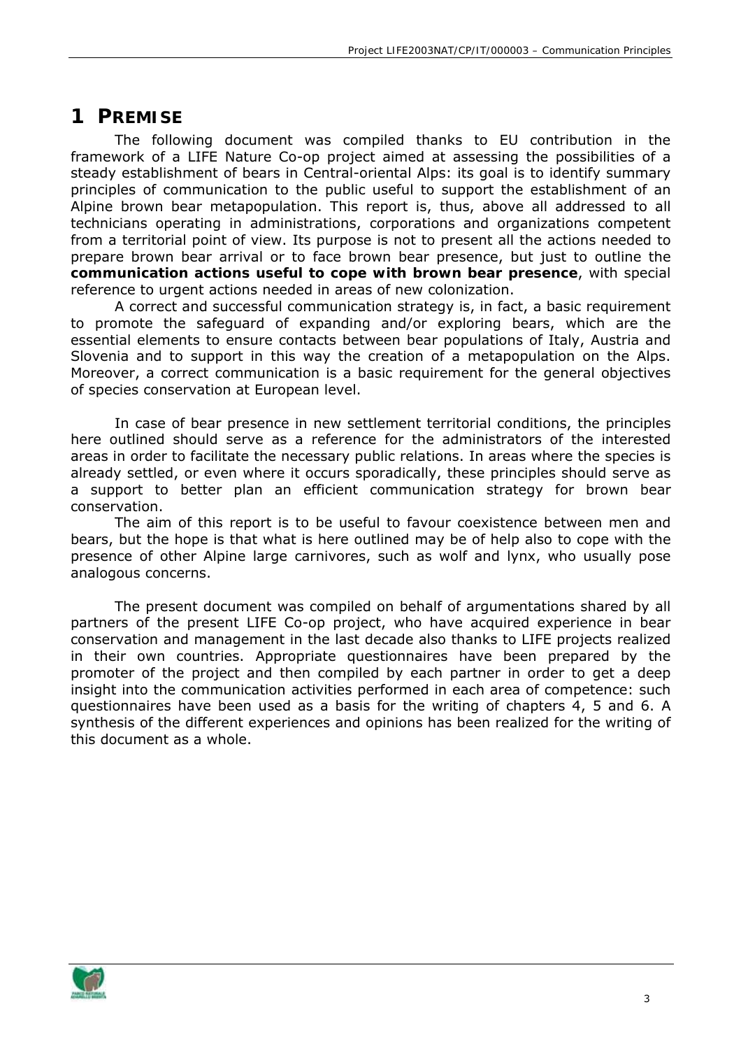# **1 PREMISE**

The following document was compiled thanks to EU contribution in the framework of a LIFE Nature Co-op project aimed at assessing the possibilities of a steady establishment of bears in Central-oriental Alps: its goal is to identify summary principles of communication to the public useful to support the establishment of an Alpine brown bear metapopulation. This report is, thus, above all addressed to all technicians operating in administrations, corporations and organizations competent from a territorial point of view. Its purpose is not to present all the actions needed to prepare brown bear arrival or to face brown bear presence, but just to outline the **communication actions useful to cope with brown bear presence**, with special reference to urgent actions needed in areas of new colonization.

A correct and successful communication strategy is, in fact, a basic requirement to promote the safeguard of expanding and/or exploring bears, which are the essential elements to ensure contacts between bear populations of Italy, Austria and Slovenia and to support in this way the creation of a metapopulation on the Alps. Moreover, a correct communication is a basic requirement for the general objectives of species conservation at European level.

In case of bear presence in new settlement territorial conditions, the principles here outlined should serve as a reference for the administrators of the interested areas in order to facilitate the necessary public relations. In areas where the species is already settled, or even where it occurs sporadically, these principles should serve as a support to better plan an efficient communication strategy for brown bear conservation.

The aim of this report is to be useful to favour coexistence between men and bears, but the hope is that what is here outlined may be of help also to cope with the presence of other Alpine large carnivores, such as wolf and lynx, who usually pose analogous concerns.

The present document was compiled on behalf of argumentations shared by all partners of the present LIFE Co-op project, who have acquired experience in bear conservation and management in the last decade also thanks to LIFE projects realized in their own countries. Appropriate questionnaires have been prepared by the promoter of the project and then compiled by each partner in order to get a deep insight into the communication activities performed in each area of competence: such questionnaires have been used as a basis for the writing of chapters 4, 5 and 6. A synthesis of the different experiences and opinions has been realized for the writing of this document as a whole.

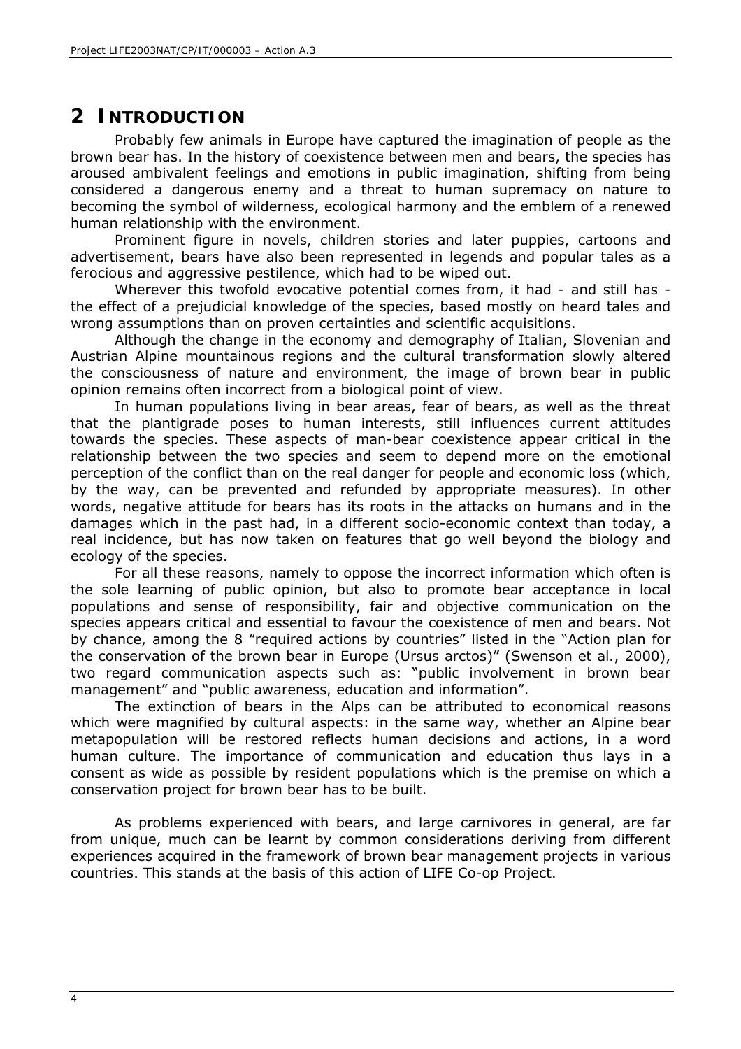# **2 INTRODUCTION**

Probably few animals in Europe have captured the imagination of people as the brown bear has. In the history of coexistence between men and bears, the species has aroused ambivalent feelings and emotions in public imagination, shifting from being considered a dangerous enemy and a threat to human supremacy on nature to becoming the symbol of wilderness, ecological harmony and the emblem of a renewed human relationship with the environment.

Prominent figure in novels, children stories and later puppies, cartoons and advertisement, bears have also been represented in legends and popular tales as a ferocious and aggressive pestilence, which had to be wiped out.

Wherever this twofold evocative potential comes from, it had - and still has the effect of a prejudicial knowledge of the species, based mostly on heard tales and wrong assumptions than on proven certainties and scientific acquisitions.

Although the change in the economy and demography of Italian, Slovenian and Austrian Alpine mountainous regions and the cultural transformation slowly altered the consciousness of nature and environment, the image of brown bear in public opinion remains often incorrect from a biological point of view.

In human populations living in bear areas, fear of bears, as well as the threat that the plantigrade poses to human interests, still influences current attitudes towards the species. These aspects of man-bear coexistence appear critical in the relationship between the two species and seem to depend more on the emotional perception of the conflict than on the real danger for people and economic loss (which, by the way, can be prevented and refunded by appropriate measures). In other words, negative attitude for bears has its roots in the attacks on humans and in the damages which in the past had, in a different socio-economic context than today, a real incidence, but has now taken on features that go well beyond the biology and ecology of the species.

For all these reasons, namely to oppose the incorrect information which often is the sole learning of public opinion, but also to promote bear acceptance in local populations and sense of responsibility, fair and objective communication on the species appears critical and essential to favour the coexistence of men and bears. Not by chance, among the 8 *"required actions by countries*" listed in the "Action plan for the conservation of the brown bear in Europe (*Ursus arctos*)" (Swenson *et al.*, 2000), two regard communication aspects such as: "*public involvement in brown bear management*" and "*public awareness, education and information*".

The extinction of bears in the Alps can be attributed to economical reasons which were magnified by cultural aspects: in the same way, whether an Alpine bear metapopulation will be restored reflects human decisions and actions, in a word human culture. The importance of communication and education thus lays in a consent as wide as possible by resident populations which is the premise on which a conservation project for brown bear has to be built.

As problems experienced with bears, and large carnivores in general, are far from unique, much can be learnt by common considerations deriving from different experiences acquired in the framework of brown bear management projects in various countries. This stands at the basis of this action of LIFE Co-op Project.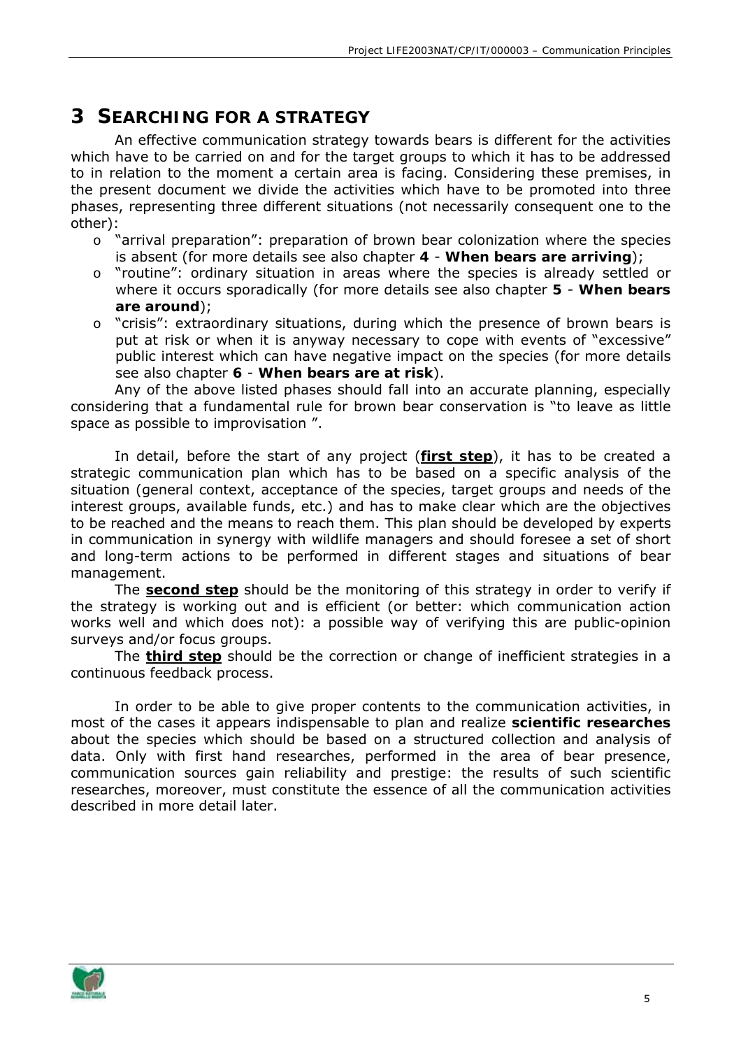## **3 SEARCHING FOR A STRATEGY**

An effective communication strategy towards bears is different for the activities which have to be carried on and for the target groups to which it has to be addressed to in relation to the moment a certain area is facing. Considering these premises, in the present document we divide the activities which have to be promoted into three phases, representing three different situations (not necessarily consequent one to the other):

- o "arrival preparation": preparation of brown bear colonization where the species is absent (for more details see also chapter **4** - **When bears are arriving**);
- o "routine": ordinary situation in areas where the species is already settled or where it occurs sporadically (for more details see also chapter **5** - **When bears are around**);
- o "crisis": extraordinary situations, during which the presence of brown bears is put at risk or when it is anyway necessary to cope with events of "excessive" public interest which can have negative impact on the species (for more details see also chapter **6** - **When bears are at risk**).

Any of the above listed phases should fall into an accurate planning, especially considering that a fundamental rule for brown bear conservation is "to leave as little space as possible to improvisation ".

In detail, before the start of any project (**first step**), it has to be created a strategic communication plan which has to be based on a specific analysis of the situation (general context, acceptance of the species, target groups and needs of the interest groups, available funds, etc.) and has to make clear which are the objectives to be reached and the means to reach them. This plan should be developed by experts in communication in synergy with wildlife managers and should foresee a set of short and long-term actions to be performed in different stages and situations of bear management.

The **second step** should be the monitoring of this strategy in order to verify if the strategy is working out and is efficient (or better: which communication action works well and which does not): a possible way of verifying this are public-opinion surveys and/or focus groups.

The **third step** should be the correction or change of inefficient strategies in a continuous feedback process.

In order to be able to give proper contents to the communication activities, in most of the cases it appears indispensable to plan and realize **scientific researches**  about the species which should be based on a structured collection and analysis of data. Only with first hand researches, performed in the area of bear presence, communication sources gain reliability and prestige: the results of such scientific researches, moreover, must constitute the essence of all the communication activities described in more detail later.

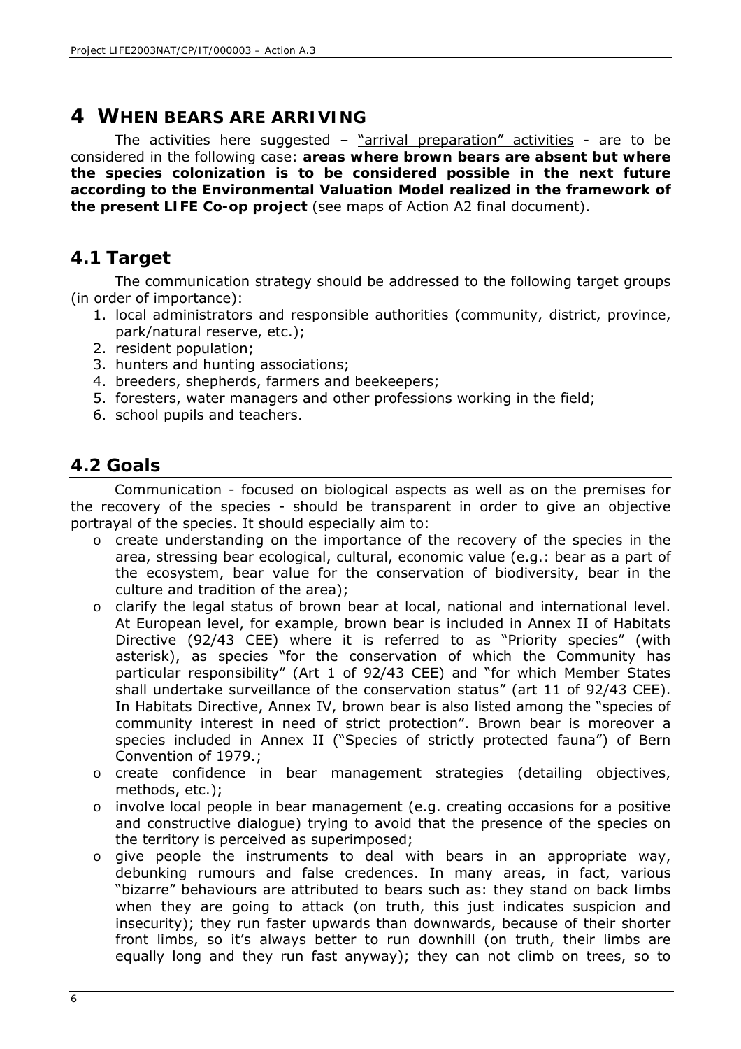### **4 WHEN BEARS ARE ARRIVING**

The activities here suggested – "arrival preparation" activities - are to be considered in the following case: **areas where brown bears are absent but where the species colonization is to be considered possible in the next future according to the Environmental Valuation Model realized in the framework of the present LIFE Co-op project** (see maps of Action A2 final document).

### **4.1 Target**

The communication strategy should be addressed to the following target groups (in order of importance):

- 1. local administrators and responsible authorities (community, district, province, park/natural reserve, etc.);
- 2. resident population;
- 3. hunters and hunting associations;
- 4. breeders, shepherds, farmers and beekeepers;
- 5. foresters, water managers and other professions working in the field;
- 6. school pupils and teachers.

#### **4.2 Goals**

Communication - focused on biological aspects as well as on the premises for the recovery of the species - should be transparent in order to give an objective portrayal of the species. It should especially aim to:

- o create understanding on the importance of the recovery of the species in the area, stressing bear ecological, cultural, economic value (e.g.: bear as a part of the ecosystem, bear value for the conservation of biodiversity, bear in the culture and tradition of the area);
- o clarify the legal status of brown bear at local, national and international level. At European level, for example, brown bear is included in Annex II of Habitats Directive (92/43 CEE) where it is referred to as "Priority species" (with asterisk), as species "for the conservation of which the Community has particular responsibility" (Art 1 of 92/43 CEE) and "for which Member States shall undertake surveillance of the conservation status" (art 11 of 92/43 CEE). In Habitats Directive, Annex IV, brown bear is also listed among the "species of community interest in need of strict protection". Brown bear is moreover a species included in Annex II ("Species of strictly protected fauna") of Bern Convention of 1979.;
- o create confidence in bear management strategies (detailing objectives, methods, etc.);
- o involve local people in bear management (e.g. creating occasions for a positive and constructive dialogue) trying to avoid that the presence of the species on the territory is perceived as superimposed;
- $\circ$  give people the instruments to deal with bears in an appropriate way, debunking rumours and false credences. In many areas, in fact, various "bizarre" behaviours are attributed to bears such as: they stand on back limbs when they are going to attack (on truth, this just indicates suspicion and insecurity); they run faster upwards than downwards, because of their shorter front limbs, so it's always better to run downhill (on truth, their limbs are equally long and they run fast anyway); they can not climb on trees, so to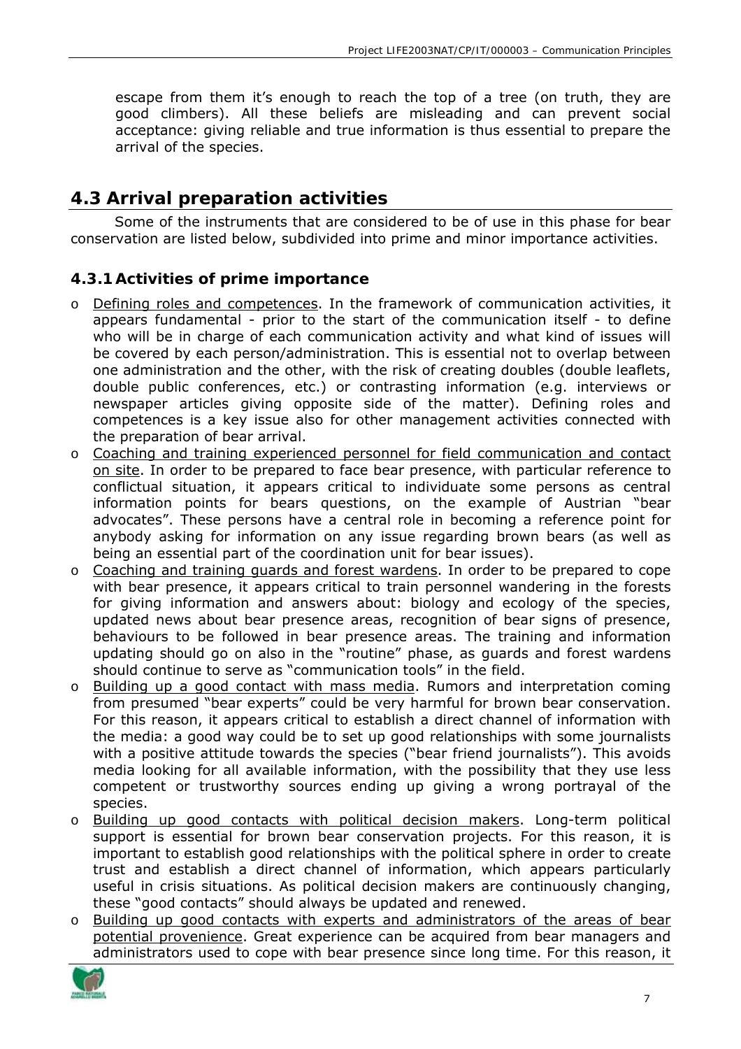escape from them it's enough to reach the top of a tree (on truth, they are good climbers). All these beliefs are misleading and can prevent social acceptance: giving reliable and true information is thus essential to prepare the arrival of the species.

#### **4.3 Arrival preparation activities**

Some of the instruments that are considered to be of use in this phase for bear conservation are listed below, subdivided into prime and minor importance activities.

#### **4.3.1Activities of prime importance**

- o Defining roles and competences. In the framework of communication activities, it appears fundamental - prior to the start of the communication itself - to define who will be in charge of each communication activity and what kind of issues will be covered by each person/administration. This is essential not to overlap between one administration and the other, with the risk of creating doubles (double leaflets, double public conferences, etc.) or contrasting information (e.g. interviews or newspaper articles giving opposite side of the matter). Defining roles and competences is a key issue also for other management activities connected with the preparation of bear arrival.
- o Coaching and training experienced personnel for field communication and contact on site. In order to be prepared to face bear presence, with particular reference to conflictual situation, it appears critical to individuate some persons as central information points for bears questions, on the example of Austrian "bear advocates". These persons have a central role in becoming a reference point for anybody asking for information on any issue regarding brown bears (as well as being an essential part of the coordination unit for bear issues).
- o Coaching and training guards and forest wardens. In order to be prepared to cope with bear presence, it appears critical to train personnel wandering in the forests for giving information and answers about: biology and ecology of the species, updated news about bear presence areas, recognition of bear signs of presence, behaviours to be followed in bear presence areas. The training and information updating should go on also in the "routine" phase, as guards and forest wardens should continue to serve as "communication tools" in the field.
- o Building up a good contact with mass media. Rumors and interpretation coming from presumed "bear experts" could be very harmful for brown bear conservation. For this reason, it appears critical to establish a direct channel of information with the media: a good way could be to set up good relationships with some journalists with a positive attitude towards the species ("bear friend journalists"). This avoids media looking for all available information, with the possibility that they use less competent or trustworthy sources ending up giving a wrong portrayal of the species.
- o Building up good contacts with political decision makers. Long-term political support is essential for brown bear conservation projects. For this reason, it is important to establish good relationships with the political sphere in order to create trust and establish a direct channel of information, which appears particularly useful in crisis situations. As political decision makers are continuously changing, these "good contacts" should always be updated and renewed.
- o Building up good contacts with experts and administrators of the areas of bear potential provenience. Great experience can be acquired from bear managers and administrators used to cope with bear presence since long time. For this reason, it

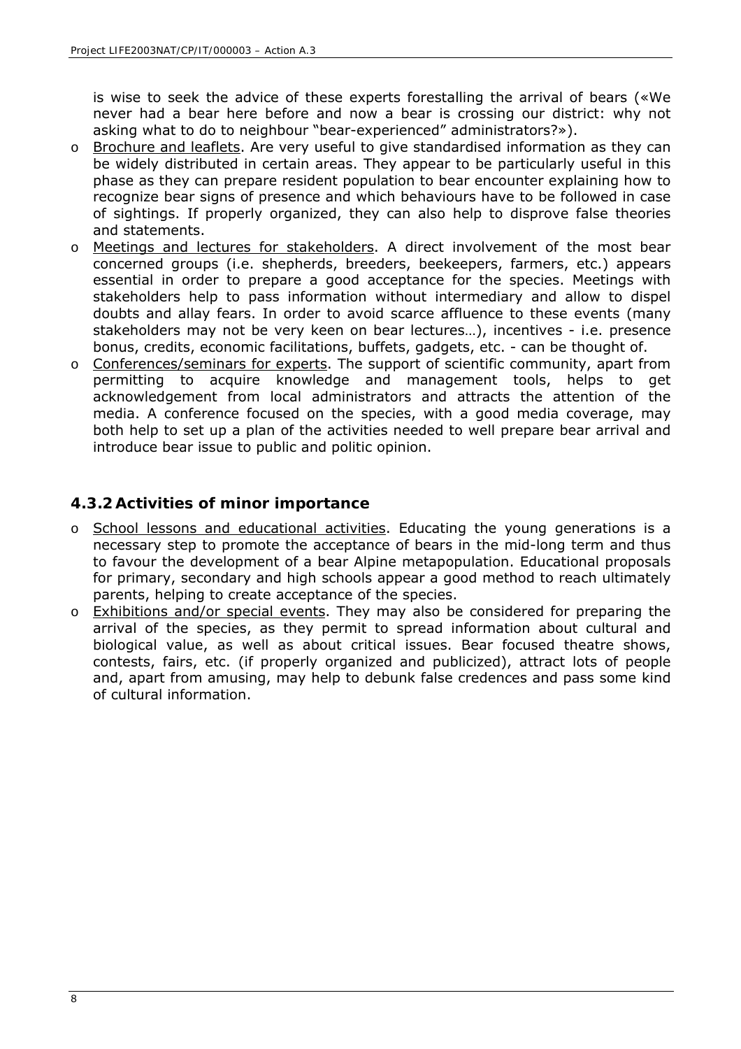is wise to seek the advice of these experts forestalling the arrival of bears («We never had a bear here before and now a bear is crossing our district: why not asking what to do to neighbour "bear-experienced" administrators?»).

- $\circ$  Brochure and leaflets. Are very useful to give standardised information as they can be widely distributed in certain areas. They appear to be particularly useful in this phase as they can prepare resident population to bear encounter explaining how to recognize bear signs of presence and which behaviours have to be followed in case of sightings. If properly organized, they can also help to disprove false theories and statements.
- o Meetings and lectures for stakeholders. A direct involvement of the most bear concerned groups (i.e. shepherds, breeders, beekeepers, farmers, etc.) appears essential in order to prepare a good acceptance for the species. Meetings with stakeholders help to pass information without intermediary and allow to dispel doubts and allay fears. In order to avoid scarce affluence to these events (many stakeholders may not be very keen on bear lectures…), incentives - i.e. presence bonus, credits, economic facilitations, buffets, gadgets, etc. - can be thought of.
- o Conferences/seminars for experts. The support of scientific community, apart from permitting to acquire knowledge and management tools, helps to get acknowledgement from local administrators and attracts the attention of the media. A conference focused on the species, with a good media coverage, may both help to set up a plan of the activities needed to well prepare bear arrival and introduce bear issue to public and politic opinion.

#### **4.3.2Activities of minor importance**

- o School lessons and educational activities. Educating the young generations is a necessary step to promote the acceptance of bears in the mid-long term and thus to favour the development of a bear Alpine metapopulation. Educational proposals for primary, secondary and high schools appear a good method to reach ultimately parents, helping to create acceptance of the species.
- o Exhibitions and/or special events. They may also be considered for preparing the arrival of the species, as they permit to spread information about cultural and biological value, as well as about critical issues. Bear focused theatre shows, contests, fairs, etc. (if properly organized and publicized), attract lots of people and, apart from amusing, may help to debunk false credences and pass some kind of cultural information.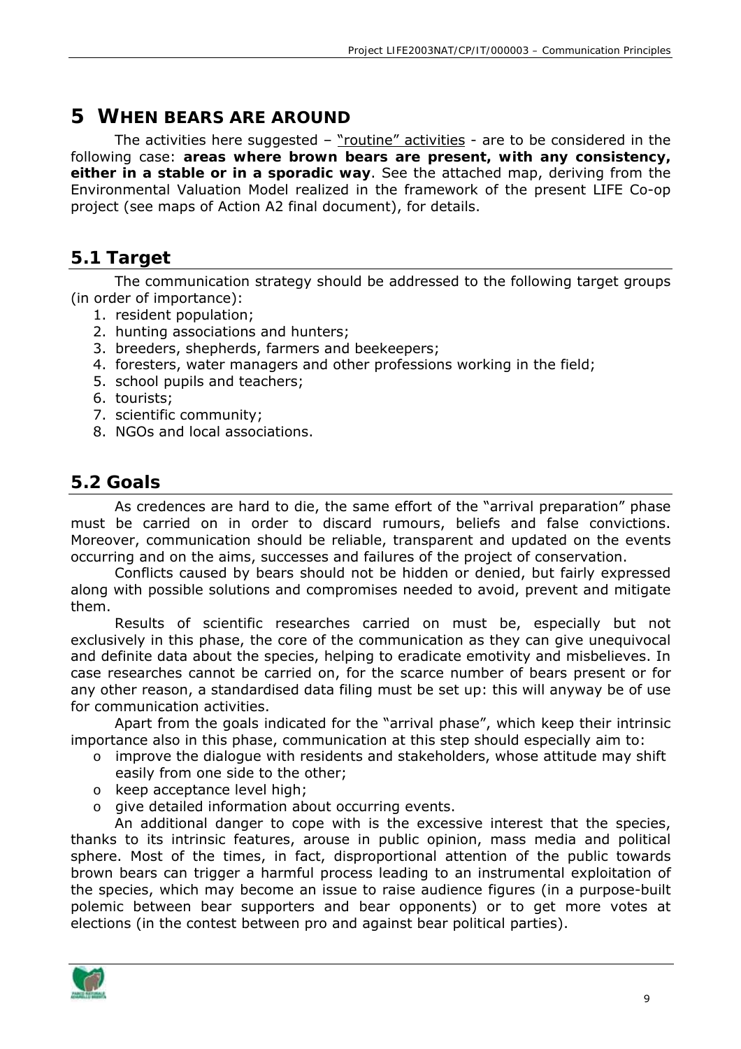# **5 WHEN BEARS ARE AROUND**

The activities here suggested  $-$  "routine" activities - are to be considered in the following case: **areas where brown bears are present, with any consistency, either in a stable or in a sporadic way**. See the attached map, deriving from the Environmental Valuation Model realized in the framework of the present LIFE Co-op project (see maps of Action A2 final document), for details.

## **5.1 Target**

The communication strategy should be addressed to the following target groups (in order of importance):

- 1. resident population;
- 2. hunting associations and hunters;
- 3. breeders, shepherds, farmers and beekeepers;
- 4. foresters, water managers and other professions working in the field;
- 5. school pupils and teachers;
- 6. tourists;
- 7. scientific community;
- 8. NGOs and local associations.

#### **5.2 Goals**

As credences are hard to die, the same effort of the "arrival preparation" phase must be carried on in order to discard rumours, beliefs and false convictions. Moreover, communication should be reliable, transparent and updated on the events occurring and on the aims, successes and failures of the project of conservation.

Conflicts caused by bears should not be hidden or denied, but fairly expressed along with possible solutions and compromises needed to avoid, prevent and mitigate them.

Results of scientific researches carried on must be, especially but not exclusively in this phase, the core of the communication as they can give unequivocal and definite data about the species, helping to eradicate emotivity and misbelieves. In case researches cannot be carried on, for the scarce number of bears present or for any other reason, a standardised data filing must be set up: this will anyway be of use for communication activities.

Apart from the goals indicated for the "arrival phase", which keep their intrinsic importance also in this phase, communication at this step should especially aim to:

- $\circ$  improve the dialogue with residents and stakeholders, whose attitude may shift easily from one side to the other;
- o keep acceptance level high;
- o give detailed information about occurring events.

An additional danger to cope with is the excessive interest that the species, thanks to its intrinsic features, arouse in public opinion, mass media and political sphere. Most of the times, in fact, disproportional attention of the public towards brown bears can trigger a harmful process leading to an instrumental exploitation of the species, which may become an issue to raise audience figures (in a purpose-built polemic between bear supporters and bear opponents) or to get more votes at elections (in the contest between pro and against bear political parties).

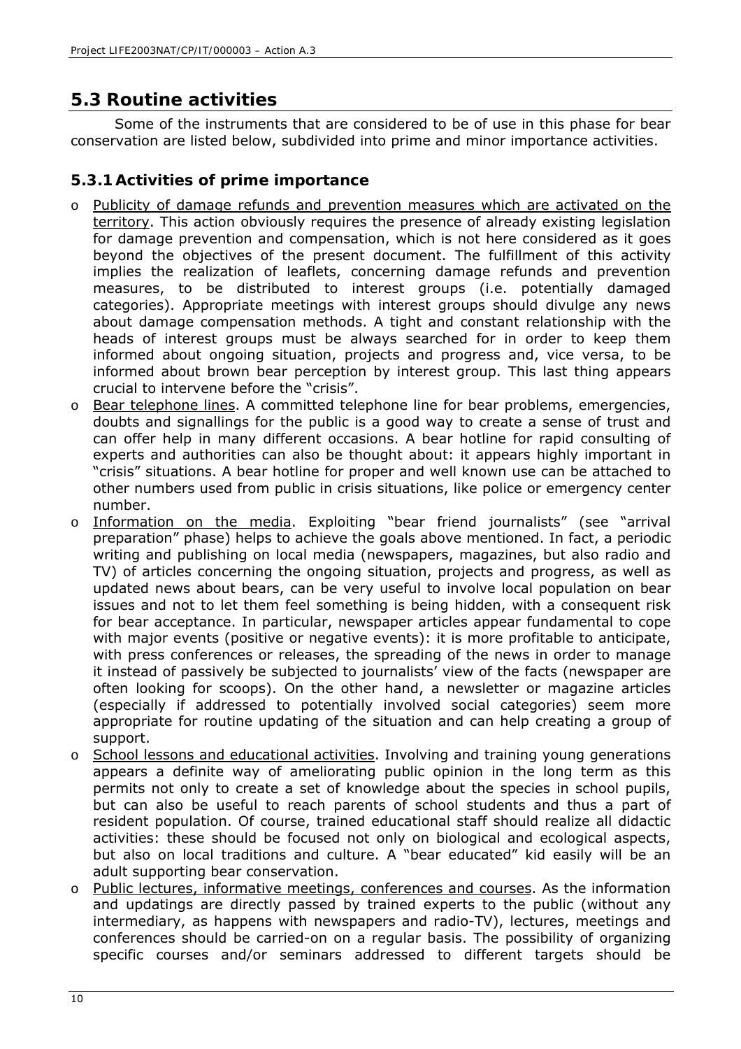# **5.3 Routine activities**

Some of the instruments that are considered to be of use in this phase for bear conservation are listed below, subdivided into prime and minor importance activities.

#### **5.3.1Activities of prime importance**

- o Publicity of damage refunds and prevention measures which are activated on the territory. This action obviously requires the presence of already existing legislation for damage prevention and compensation, which is not here considered as it goes beyond the objectives of the present document. The fulfillment of this activity implies the realization of leaflets, concerning damage refunds and prevention measures, to be distributed to interest groups (i.e. potentially damaged categories). Appropriate meetings with interest groups should divulge any news about damage compensation methods. A tight and constant relationship with the heads of interest groups must be always searched for in order to keep them informed about ongoing situation, projects and progress and, vice versa, to be informed about brown bear perception by interest group. This last thing appears crucial to intervene before the "crisis".
- o Bear telephone lines. A committed telephone line for bear problems, emergencies, doubts and signallings for the public is a good way to create a sense of trust and can offer help in many different occasions. A bear hotline for rapid consulting of experts and authorities can also be thought about: it appears highly important in "crisis" situations. A bear hotline for proper and well known use can be attached to other numbers used from public in crisis situations, like police or emergency center number.
- o Information on the media. Exploiting "bear friend journalists" (see "arrival preparation" phase) helps to achieve the goals above mentioned. In fact, a periodic writing and publishing on local media (newspapers, magazines, but also radio and TV) of articles concerning the ongoing situation, projects and progress, as well as updated news about bears, can be very useful to involve local population on bear issues and not to let them feel something is being hidden, with a consequent risk for bear acceptance. In particular, newspaper articles appear fundamental to cope with major events (positive or negative events): it is more profitable to anticipate, with press conferences or releases, the spreading of the news in order to manage it instead of passively be subjected to journalists' view of the facts (newspaper are often looking for scoops). On the other hand, a newsletter or magazine articles (especially if addressed to potentially involved social categories) seem more appropriate for routine updating of the situation and can help creating a group of support.
- o School lessons and educational activities. Involving and training young generations appears a definite way of ameliorating public opinion in the long term as this permits not only to create a set of knowledge about the species in school pupils, but can also be useful to reach parents of school students and thus a part of resident population. Of course, trained educational staff should realize all didactic activities: these should be focused not only on biological and ecological aspects, but also on local traditions and culture. A "bear educated" kid easily will be an adult supporting bear conservation.
- o Public lectures, informative meetings, conferences and courses. As the information and updatings are directly passed by trained experts to the public (without any intermediary, as happens with newspapers and radio-TV), lectures, meetings and conferences should be carried-on on a regular basis. The possibility of organizing specific courses and/or seminars addressed to different targets should be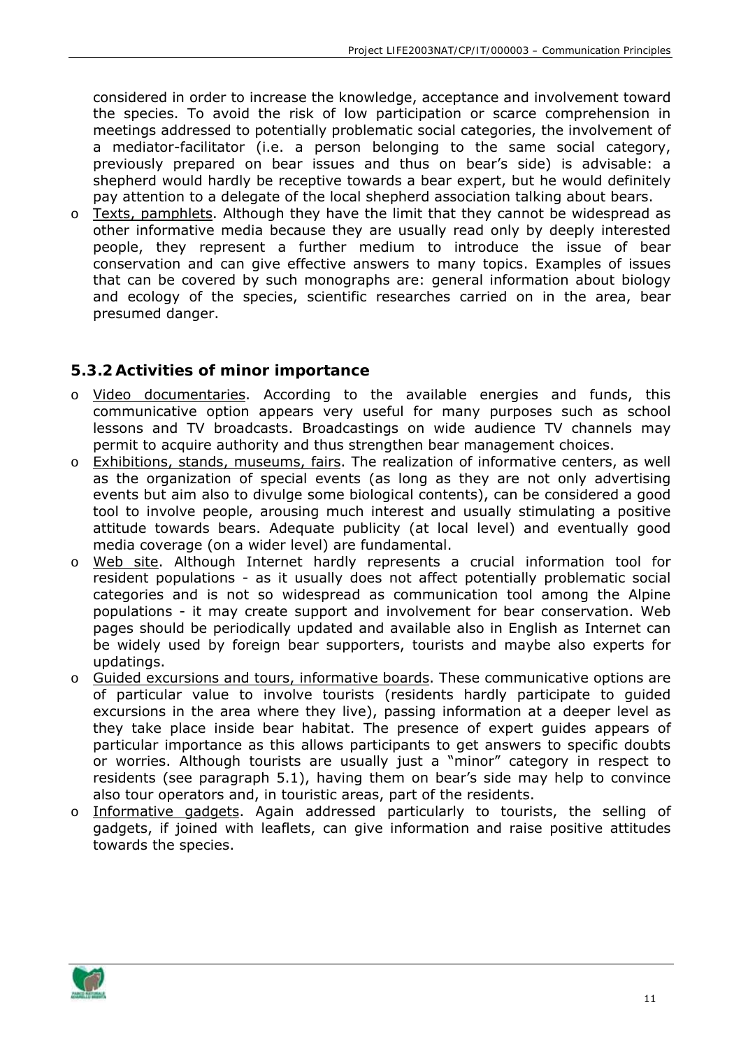considered in order to increase the knowledge, acceptance and involvement toward the species. To avoid the risk of low participation or scarce comprehension in meetings addressed to potentially problematic social categories, the involvement of a mediator-facilitator (i.e. a person belonging to the same social category, previously prepared on bear issues and thus on bear's side) is advisable: a shepherd would hardly be receptive towards a bear expert, but he would definitely pay attention to a delegate of the local shepherd association talking about bears.

 $\circ$  Texts, pamphlets. Although they have the limit that they cannot be widespread as other informative media because they are usually read only by deeply interested people, they represent a further medium to introduce the issue of bear conservation and can give effective answers to many topics. Examples of issues that can be covered by such monographs are: general information about biology and ecology of the species, scientific researches carried on in the area, bear presumed danger.

#### **5.3.2Activities of minor importance**

- o Video documentaries. According to the available energies and funds, this communicative option appears very useful for many purposes such as school lessons and TV broadcasts. Broadcastings on wide audience TV channels may permit to acquire authority and thus strengthen bear management choices.
- o Exhibitions, stands, museums, fairs. The realization of informative centers, as well as the organization of special events (as long as they are not only advertising events but aim also to divulge some biological contents), can be considered a good tool to involve people, arousing much interest and usually stimulating a positive attitude towards bears. Adequate publicity (at local level) and eventually good media coverage (on a wider level) are fundamental.
- o Web site. Although Internet hardly represents a crucial information tool for resident populations - as it usually does not affect potentially problematic social categories and is not so widespread as communication tool among the Alpine populations - it may create support and involvement for bear conservation. Web pages should be periodically updated and available also in English as Internet can be widely used by foreign bear supporters, tourists and maybe also experts for updatings.
- o Guided excursions and tours, informative boards. These communicative options are of particular value to involve tourists (residents hardly participate to guided excursions in the area where they live), passing information at a deeper level as they take place inside bear habitat. The presence of expert guides appears of particular importance as this allows participants to get answers to specific doubts or worries. Although tourists are usually just a "minor" category in respect to residents (see paragraph 5.1), having them on bear's side may help to convince also tour operators and, in touristic areas, part of the residents.
- o Informative gadgets. Again addressed particularly to tourists, the selling of gadgets, if joined with leaflets, can give information and raise positive attitudes towards the species.

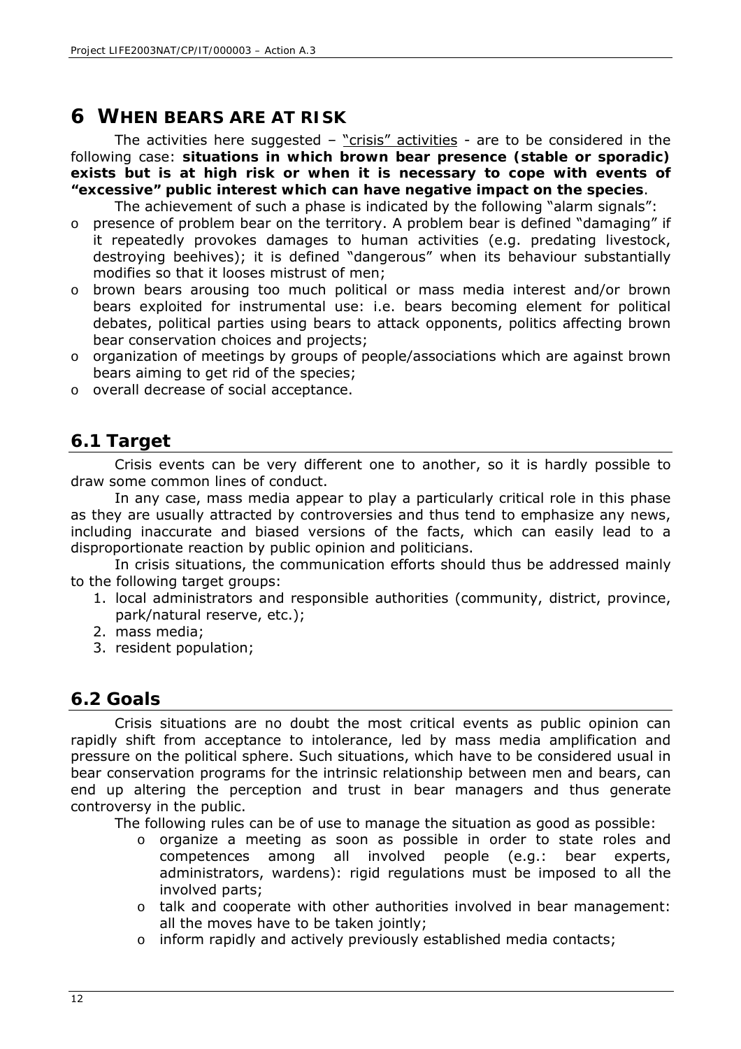# **6 WHEN BEARS ARE AT RISK**

The activities here suggested – "crisis" activities - are to be considered in the following case: **situations in which brown bear presence (stable or sporadic) exists but is at high risk or when it is necessary to cope with events of "excessive" public interest which can have negative impact on the species**.

The achievement of such a phase is indicated by the following "alarm signals":

- o presence of problem bear on the territory. A problem bear is defined "damaging" if it repeatedly provokes damages to human activities (e.g. predating livestock, destroying beehives); it is defined "dangerous" when its behaviour substantially modifies so that it looses mistrust of men;
- o brown bears arousing too much political or mass media interest and/or brown bears exploited for instrumental use: i.e. bears becoming element for political debates, political parties using bears to attack opponents, politics affecting brown bear conservation choices and projects;
- o organization of meetings by groups of people/associations which are against brown bears aiming to get rid of the species;
- o overall decrease of social acceptance.

### **6.1 Target**

Crisis events can be very different one to another, so it is hardly possible to draw some common lines of conduct.

In any case, mass media appear to play a particularly critical role in this phase as they are usually attracted by controversies and thus tend to emphasize any news, including inaccurate and biased versions of the facts, which can easily lead to a disproportionate reaction by public opinion and politicians.

In crisis situations, the communication efforts should thus be addressed mainly to the following target groups:

- 1. local administrators and responsible authorities (community, district, province, park/natural reserve, etc.);
- 2. mass media;
- 3. resident population;

#### **6.2 Goals**

Crisis situations are no doubt the most critical events as public opinion can rapidly shift from acceptance to intolerance, led by mass media amplification and pressure on the political sphere. Such situations, which have to be considered usual in bear conservation programs for the intrinsic relationship between men and bears, can end up altering the perception and trust in bear managers and thus generate controversy in the public.

The following rules can be of use to manage the situation as good as possible:

- o organize a meeting as soon as possible in order to state roles and competences among all involved people (e.g.: bear experts, administrators, wardens): rigid regulations must be imposed to all the involved parts;
- o talk and cooperate with other authorities involved in bear management: all the moves have to be taken jointly;
- o inform rapidly and actively previously established media contacts;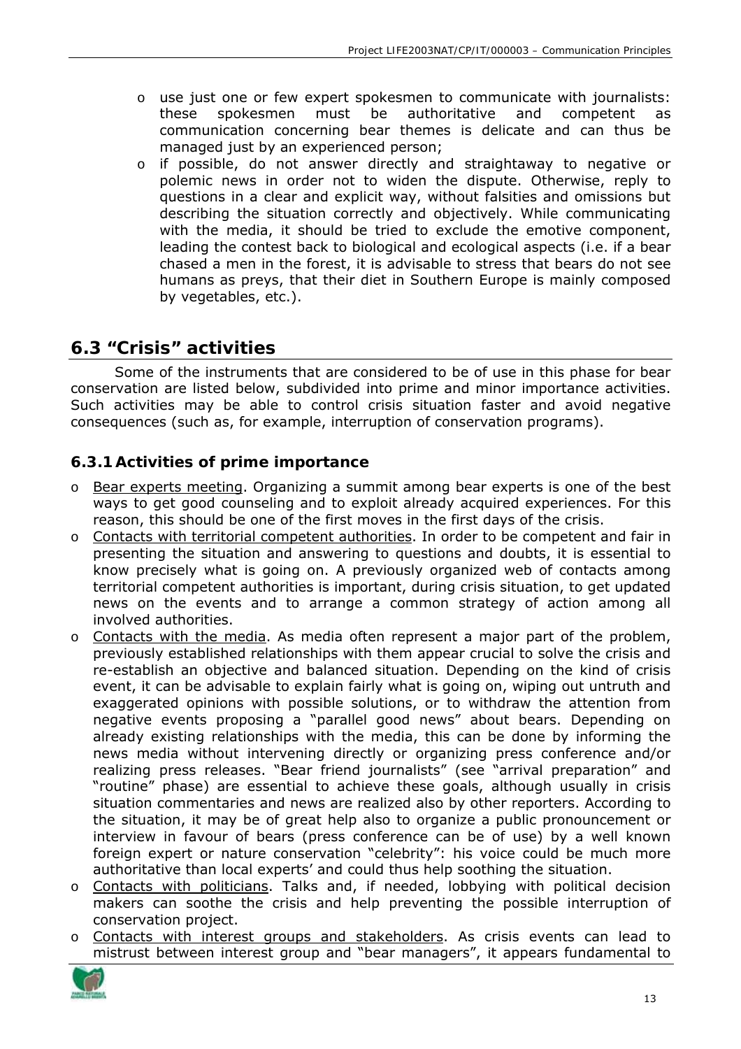- o use just one or few expert spokesmen to communicate with journalists: these spokesmen must be authoritative and competent as communication concerning bear themes is delicate and can thus be managed just by an experienced person;
- o if possible, do not answer directly and straightaway to negative or polemic news in order not to widen the dispute. Otherwise, reply to questions in a clear and explicit way, without falsities and omissions but describing the situation correctly and objectively. While communicating with the media, it should be tried to exclude the emotive component, leading the contest back to biological and ecological aspects (i.e. if a bear chased a men in the forest, it is advisable to stress that bears do not see humans as preys, that their diet in Southern Europe is mainly composed by vegetables, etc.).

### **6.3 "Crisis" activities**

Some of the instruments that are considered to be of use in this phase for bear conservation are listed below, subdivided into prime and minor importance activities. Such activities may be able to control crisis situation faster and avoid negative consequences (such as, for example, interruption of conservation programs).

#### **6.3.1Activities of prime importance**

- o Bear experts meeting. Organizing a summit among bear experts is one of the best ways to get good counseling and to exploit already acquired experiences. For this reason, this should be one of the first moves in the first days of the crisis.
- o Contacts with territorial competent authorities. In order to be competent and fair in presenting the situation and answering to questions and doubts, it is essential to know precisely what is going on. A previously organized web of contacts among territorial competent authorities is important, during crisis situation, to get updated news on the events and to arrange a common strategy of action among all involved authorities.
- $\circ$  Contacts with the media. As media often represent a major part of the problem, previously established relationships with them appear crucial to solve the crisis and re-establish an objective and balanced situation. Depending on the kind of crisis event, it can be advisable to explain fairly what is going on, wiping out untruth and exaggerated opinions with possible solutions, or to withdraw the attention from negative events proposing a "parallel good news" about bears. Depending on already existing relationships with the media, this can be done by informing the news media without intervening directly or organizing press conference and/or realizing press releases. "Bear friend journalists" (see "arrival preparation" and "routine" phase) are essential to achieve these goals, although usually in crisis situation commentaries and news are realized also by other reporters. According to the situation, it may be of great help also to organize a public pronouncement or interview in favour of bears (press conference can be of use) by a well known foreign expert or nature conservation "celebrity": his voice could be much more authoritative than local experts' and could thus help soothing the situation.
- o Contacts with politicians. Talks and, if needed, lobbying with political decision makers can soothe the crisis and help preventing the possible interruption of conservation project.
- o Contacts with interest groups and stakeholders. As crisis events can lead to mistrust between interest group and "bear managers", it appears fundamental to

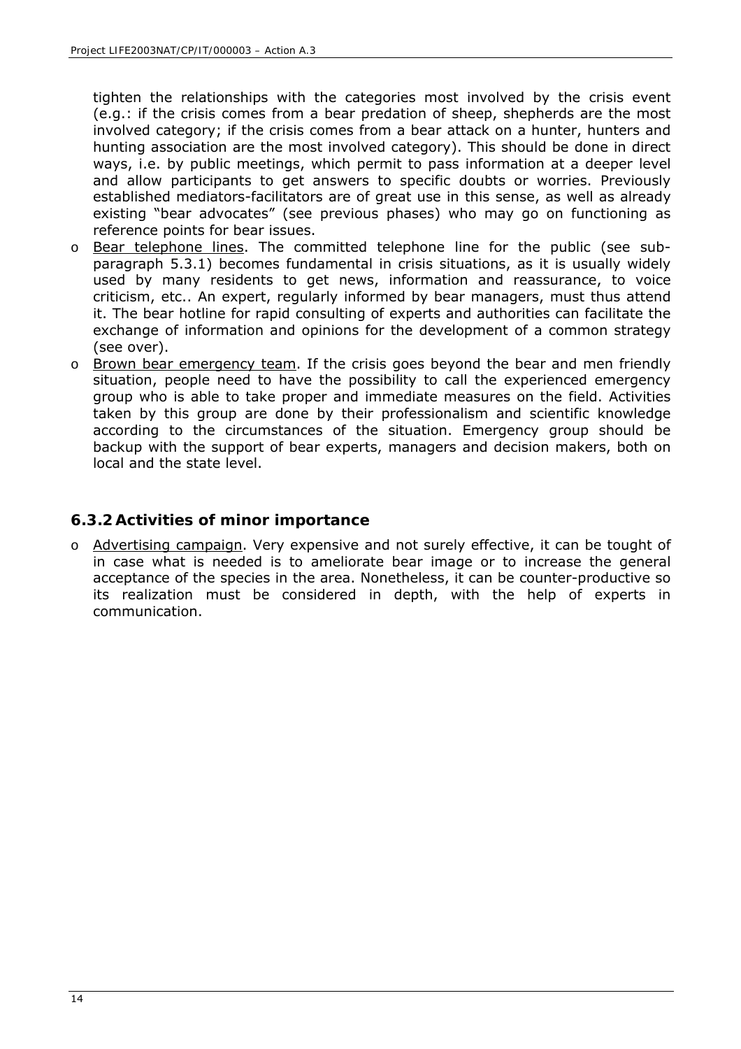tighten the relationships with the categories most involved by the crisis event (e.g.: if the crisis comes from a bear predation of sheep, shepherds are the most involved category; if the crisis comes from a bear attack on a hunter, hunters and hunting association are the most involved category). This should be done in direct ways, i.e. by public meetings, which permit to pass information at a deeper level and allow participants to get answers to specific doubts or worries. Previously established mediators-facilitators are of great use in this sense, as well as already existing "bear advocates" (see previous phases) who may go on functioning as reference points for bear issues.

- o Bear telephone lines. The committed telephone line for the public (see subparagraph 5.3.1) becomes fundamental in crisis situations, as it is usually widely used by many residents to get news, information and reassurance, to voice criticism, etc.. An expert, regularly informed by bear managers, must thus attend it. The bear hotline for rapid consulting of experts and authorities can facilitate the exchange of information and opinions for the development of a common strategy (see over).
- o Brown bear emergency team. If the crisis goes beyond the bear and men friendly situation, people need to have the possibility to call the experienced emergency group who is able to take proper and immediate measures on the field. Activities taken by this group are done by their professionalism and scientific knowledge according to the circumstances of the situation. Emergency group should be backup with the support of bear experts, managers and decision makers, both on local and the state level.

#### **6.3.2Activities of minor importance**

o Advertising campaign. Very expensive and not surely effective, it can be tought of in case what is needed is to ameliorate bear image or to increase the general acceptance of the species in the area. Nonetheless, it can be counter-productive so its realization must be considered in depth, with the help of experts in communication.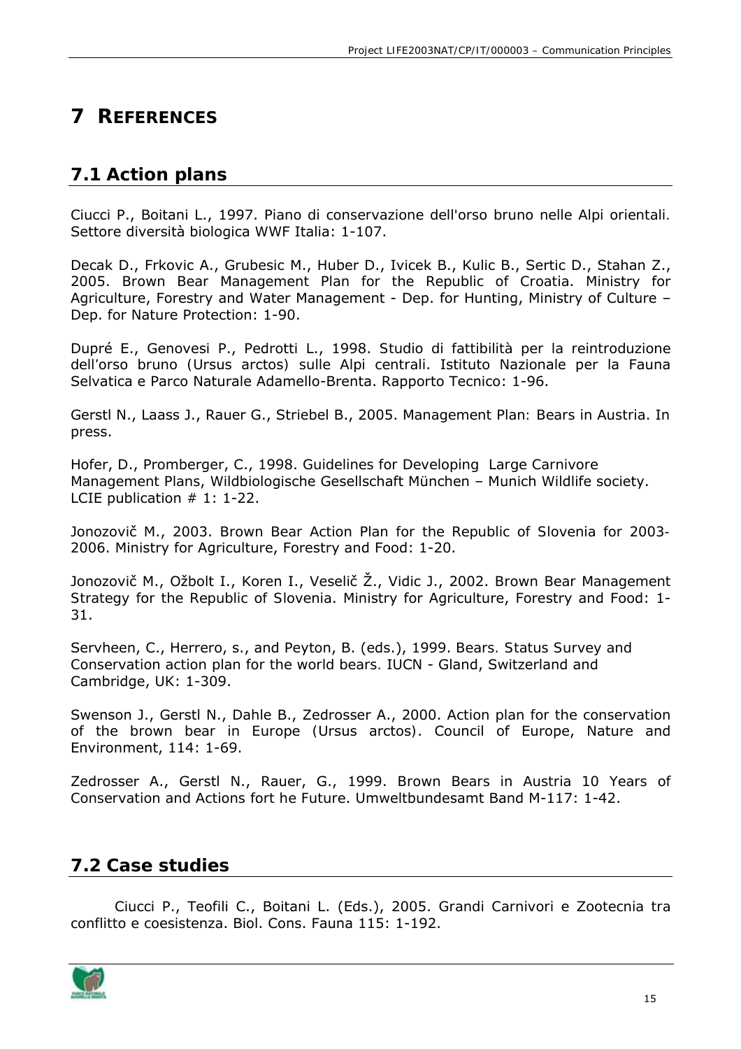# **7 REFERENCES**

# **7.1 Action plans**

Ciucci P., Boitani L., 1997. *Piano di conservazione dell'orso bruno nelle Alpi orientali.*  Settore diversità biologica WWF Italia: 1-107.

Decak D., Frkovic A., Grubesic M., Huber D., Ivicek B., Kulic B., Sertic D., Stahan Z., 2005. *Brown Bear Management Plan for the Republic of Croatia*. Ministry for Agriculture, Forestry and Water Management - Dep. for Hunting, Ministry of Culture – Dep. for Nature Protection: 1-90.

Dupré E., Genovesi P., Pedrotti L., 1998. *Studio di fattibilità per la reintroduzione dell'orso bruno (*Ursus arctos*) sulle Alpi centrali*. Istituto Nazionale per la Fauna Selvatica e Parco Naturale Adamello-Brenta. Rapporto Tecnico: 1-96.

Gerstl N., Laass J., Rauer G., Striebel B., 2005. *Management Plan: Bears in Austria*. In press.

Hofer, D., Promberger, C., 1998. *Guidelines for Developing Large Carnivore Management Plans*, Wildbiologische Gesellschaft München – Munich Wildlife society. LCIE publication # 1: 1-22.

Jonozovič M., 2003. *Brown Bear Action Plan for the Republic of Slovenia for 2003- 2006*. Ministry for Agriculture, Forestry and Food: 1-20.

Jonozovič M., Ožbolt I., Koren I., Veselič Ž., Vidic J., 2002. *Brown Bear Management Strategy for the Republic of Slovenia*. Ministry for Agriculture, Forestry and Food: 1- 31.

Servheen, C., Herrero, s., and Peyton, B. (eds.), 1999. *Bears. Status Survey and Conservation action plan for the world bears.* IUCN - Gland, Switzerland and Cambridge, UK: 1-309.

Swenson J., Gerstl N., Dahle B., Zedrosser A., 2000. *Action plan for the conservation of the brown bear in Europe (*Ursus arctos*)*. Council of Europe, Nature and Environment, 114: 1-69.

Zedrosser A., Gerstl N., Rauer, G., 1999. *Brown Bears in Austria 10 Years of Conservation and Actions fort he Future*. Umweltbundesamt Band M-117: 1-42.

### **7.2 Case studies**

Ciucci P., Teofili C., Boitani L. (Eds.), 2005. *Grandi Carnivori e Zootecnia tra conflitto e coesistenza*. Biol. Cons. Fauna 115: 1-192.